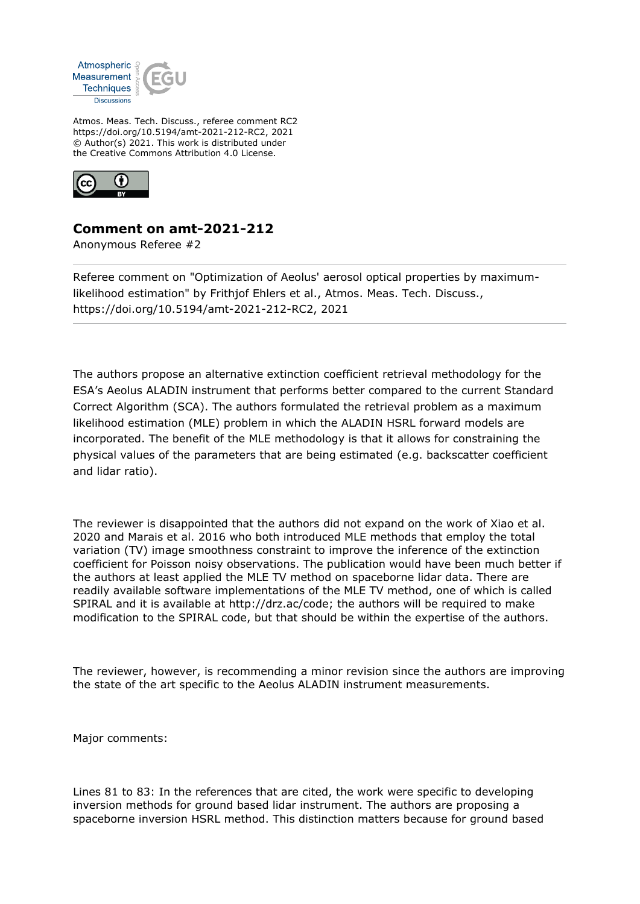

Atmos. Meas. Tech. Discuss., referee comment RC2 https://doi.org/10.5194/amt-2021-212-RC2, 2021 © Author(s) 2021. This work is distributed under the Creative Commons Attribution 4.0 License.



## **Comment on amt-2021-212**

Anonymous Referee #2

Referee comment on "Optimization of Aeolus' aerosol optical properties by maximumlikelihood estimation" by Frithjof Ehlers et al., Atmos. Meas. Tech. Discuss., https://doi.org/10.5194/amt-2021-212-RC2, 2021

The authors propose an alternative extinction coefficient retrieval methodology for the ESA's Aeolus ALADIN instrument that performs better compared to the current Standard Correct Algorithm (SCA). The authors formulated the retrieval problem as a maximum likelihood estimation (MLE) problem in which the ALADIN HSRL forward models are incorporated. The benefit of the MLE methodology is that it allows for constraining the physical values of the parameters that are being estimated (e.g. backscatter coefficient and lidar ratio).

The reviewer is disappointed that the authors did not expand on the work of Xiao et al. 2020 and Marais et al. 2016 who both introduced MLE methods that employ the total variation (TV) image smoothness constraint to improve the inference of the extinction coefficient for Poisson noisy observations. The publication would have been much better if the authors at least applied the MLE TV method on spaceborne lidar data. There are readily available software implementations of the MLE TV method, one of which is called SPIRAL and it is available at http://drz.ac/code; the authors will be required to make modification to the SPIRAL code, but that should be within the expertise of the authors.

The reviewer, however, is recommending a minor revision since the authors are improving the state of the art specific to the Aeolus ALADIN instrument measurements.

Major comments:

Lines 81 to 83: In the references that are cited, the work were specific to developing inversion methods for ground based lidar instrument. The authors are proposing a spaceborne inversion HSRL method. This distinction matters because for ground based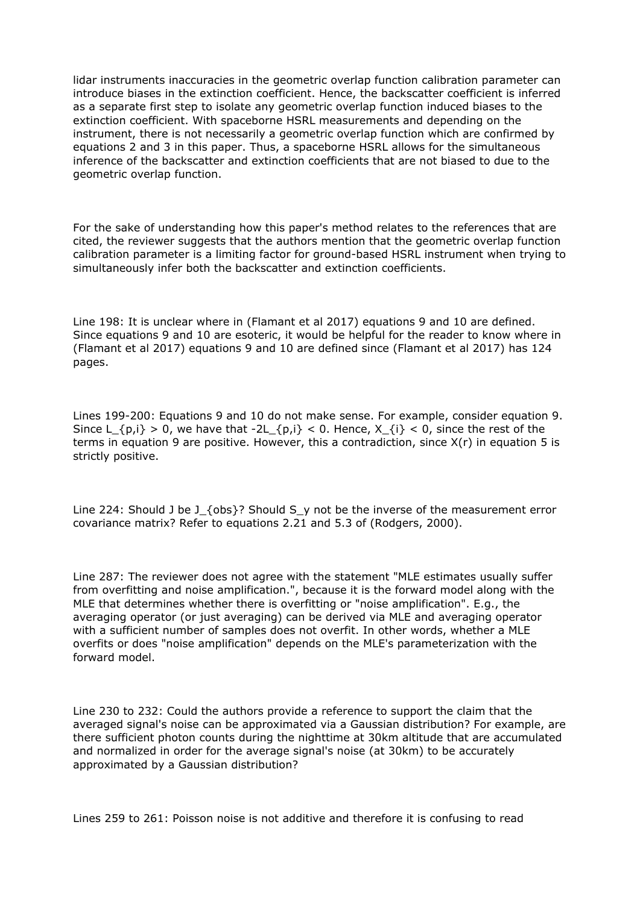lidar instruments inaccuracies in the geometric overlap function calibration parameter can introduce biases in the extinction coefficient. Hence, the backscatter coefficient is inferred as a separate first step to isolate any geometric overlap function induced biases to the extinction coefficient. With spaceborne HSRL measurements and depending on the instrument, there is not necessarily a geometric overlap function which are confirmed by equations 2 and 3 in this paper. Thus, a spaceborne HSRL allows for the simultaneous inference of the backscatter and extinction coefficients that are not biased to due to the geometric overlap function.

For the sake of understanding how this paper's method relates to the references that are cited, the reviewer suggests that the authors mention that the geometric overlap function calibration parameter is a limiting factor for ground-based HSRL instrument when trying to simultaneously infer both the backscatter and extinction coefficients.

Line 198: It is unclear where in (Flamant et al 2017) equations 9 and 10 are defined. Since equations 9 and 10 are esoteric, it would be helpful for the reader to know where in (Flamant et al 2017) equations 9 and 10 are defined since (Flamant et al 2017) has 124 pages.

Lines 199-200: Equations 9 and 10 do not make sense. For example, consider equation 9. Since  $L_{1}(p,i) > 0$ , we have that  $-2L_{1}(p,i) < 0$ . Hence,  $X_{1}(i) < 0$ , since the rest of the terms in equation 9 are positive. However, this a contradiction, since  $X(r)$  in equation 5 is strictly positive.

Line 224: Should J be J\_{obs}? Should S\_y not be the inverse of the measurement error covariance matrix? Refer to equations 2.21 and 5.3 of (Rodgers, 2000).

Line 287: The reviewer does not agree with the statement "MLE estimates usually suffer from overfitting and noise amplification.", because it is the forward model along with the MLE that determines whether there is overfitting or "noise amplification". E.g., the averaging operator (or just averaging) can be derived via MLE and averaging operator with a sufficient number of samples does not overfit. In other words, whether a MLE overfits or does "noise amplification" depends on the MLE's parameterization with the forward model.

Line 230 to 232: Could the authors provide a reference to support the claim that the averaged signal's noise can be approximated via a Gaussian distribution? For example, are there sufficient photon counts during the nighttime at 30km altitude that are accumulated and normalized in order for the average signal's noise (at 30km) to be accurately approximated by a Gaussian distribution?

Lines 259 to 261: Poisson noise is not additive and therefore it is confusing to read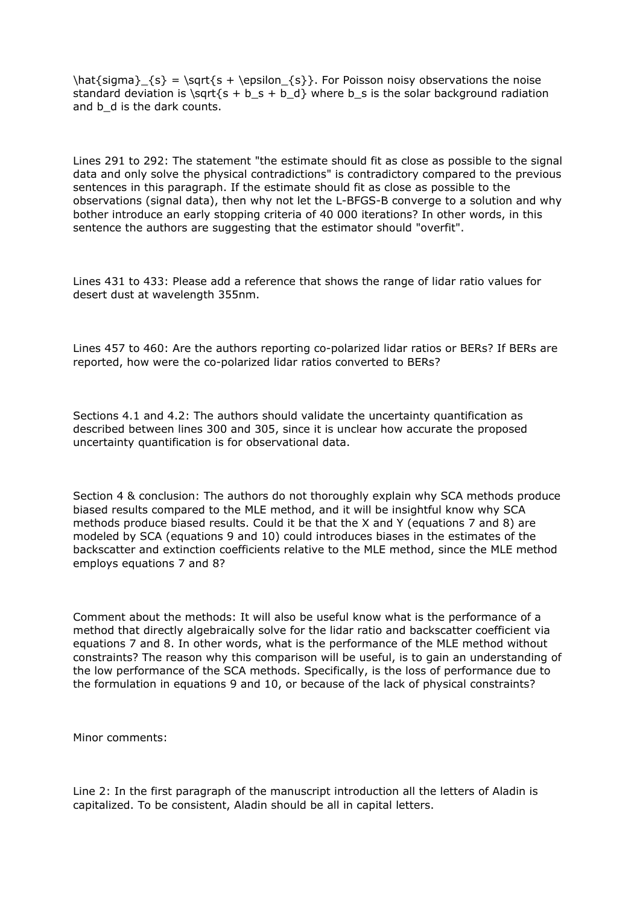$\hat{s}_{s} = \sqrt{s + \epsilon_{s}}$ . For Poisson noisy observations the noise standard deviation is  $\sqrt{st} + b_s + b_d$  where b\_s is the solar background radiation and b d is the dark counts.

Lines 291 to 292: The statement "the estimate should fit as close as possible to the signal data and only solve the physical contradictions" is contradictory compared to the previous sentences in this paragraph. If the estimate should fit as close as possible to the observations (signal data), then why not let the L-BFGS-B converge to a solution and why bother introduce an early stopping criteria of 40 000 iterations? In other words, in this sentence the authors are suggesting that the estimator should "overfit".

Lines 431 to 433: Please add a reference that shows the range of lidar ratio values for desert dust at wavelength 355nm.

Lines 457 to 460: Are the authors reporting co-polarized lidar ratios or BERs? If BERs are reported, how were the co-polarized lidar ratios converted to BERs?

Sections 4.1 and 4.2: The authors should validate the uncertainty quantification as described between lines 300 and 305, since it is unclear how accurate the proposed uncertainty quantification is for observational data.

Section 4 & conclusion: The authors do not thoroughly explain why SCA methods produce biased results compared to the MLE method, and it will be insightful know why SCA methods produce biased results. Could it be that the X and Y (equations 7 and 8) are modeled by SCA (equations 9 and 10) could introduces biases in the estimates of the backscatter and extinction coefficients relative to the MLE method, since the MLE method employs equations 7 and 8?

Comment about the methods: It will also be useful know what is the performance of a method that directly algebraically solve for the lidar ratio and backscatter coefficient via equations 7 and 8. In other words, what is the performance of the MLE method without constraints? The reason why this comparison will be useful, is to gain an understanding of the low performance of the SCA methods. Specifically, is the loss of performance due to the formulation in equations 9 and 10, or because of the lack of physical constraints?

Minor comments:

Line 2: In the first paragraph of the manuscript introduction all the letters of Aladin is capitalized. To be consistent, Aladin should be all in capital letters.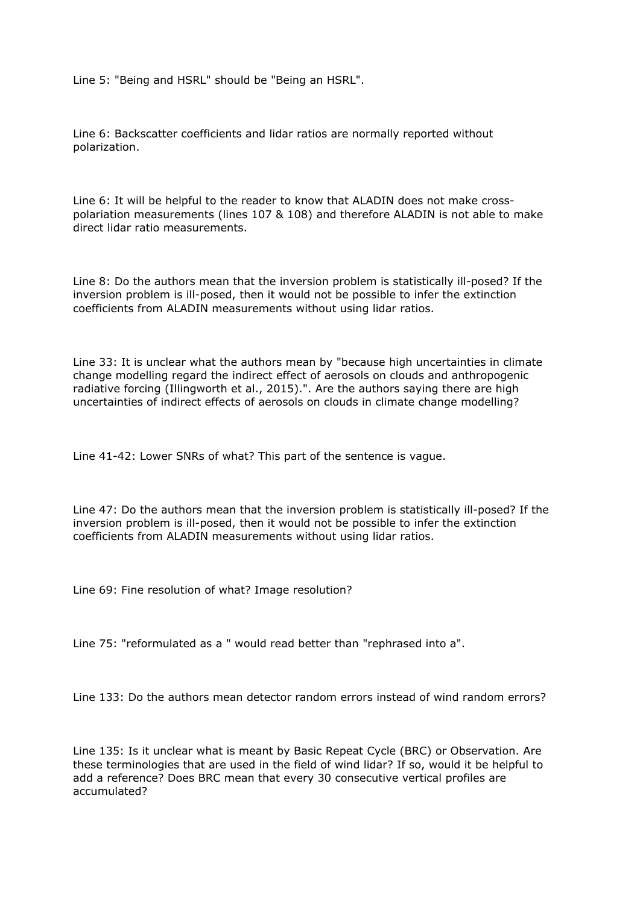Line 5: "Being and HSRL" should be "Being an HSRL".

Line 6: Backscatter coefficients and lidar ratios are normally reported without polarization.

Line 6: It will be helpful to the reader to know that ALADIN does not make crosspolariation measurements (lines 107 & 108) and therefore ALADIN is not able to make direct lidar ratio measurements.

Line 8: Do the authors mean that the inversion problem is statistically ill-posed? If the inversion problem is ill-posed, then it would not be possible to infer the extinction coefficients from ALADIN measurements without using lidar ratios.

Line 33: It is unclear what the authors mean by "because high uncertainties in climate change modelling regard the indirect effect of aerosols on clouds and anthropogenic radiative forcing (Illingworth et al., 2015).". Are the authors saying there are high uncertainties of indirect effects of aerosols on clouds in climate change modelling?

Line 41-42: Lower SNRs of what? This part of the sentence is vague.

Line 47: Do the authors mean that the inversion problem is statistically ill-posed? If the inversion problem is ill-posed, then it would not be possible to infer the extinction coefficients from ALADIN measurements without using lidar ratios.

Line 69: Fine resolution of what? Image resolution?

Line 75: "reformulated as a " would read better than "rephrased into a".

Line 133: Do the authors mean detector random errors instead of wind random errors?

Line 135: Is it unclear what is meant by Basic Repeat Cycle (BRC) or Observation. Are these terminologies that are used in the field of wind lidar? If so, would it be helpful to add a reference? Does BRC mean that every 30 consecutive vertical profiles are accumulated?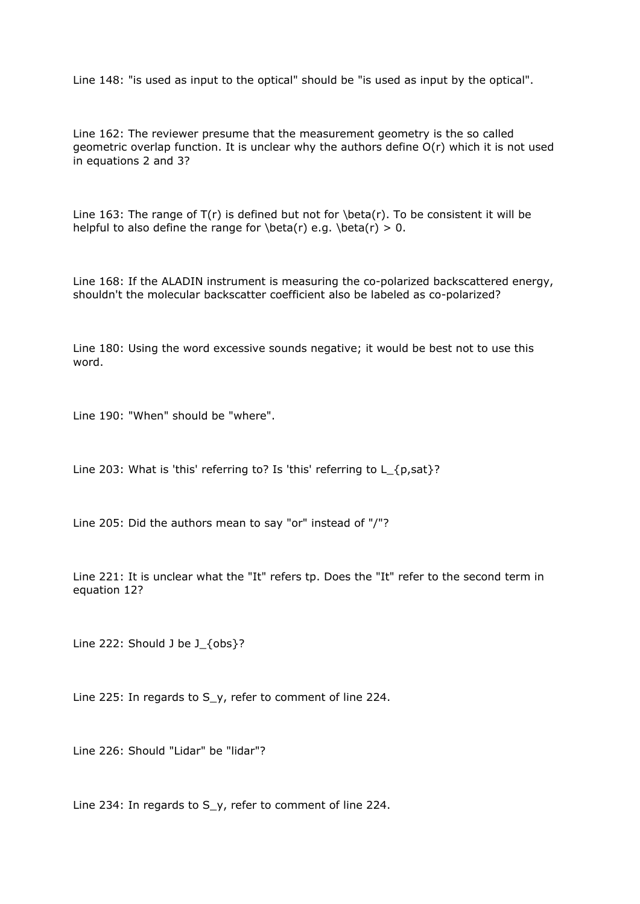Line 148: "is used as input to the optical" should be "is used as input by the optical".

Line 162: The reviewer presume that the measurement geometry is the so called geometric overlap function. It is unclear why the authors define O(r) which it is not used in equations 2 and 3?

Line 163: The range of  $T(r)$  is defined but not for  $\beta(r)$ . To be consistent it will be helpful to also define the range for  $beta(r)$  e.g.  $beta(r) > 0$ .

Line 168: If the ALADIN instrument is measuring the co-polarized backscattered energy, shouldn't the molecular backscatter coefficient also be labeled as co-polarized?

Line 180: Using the word excessive sounds negative; it would be best not to use this word.

Line 190: "When" should be "where".

Line 203: What is 'this' referring to? Is 'this' referring to L {p,sat}?

Line 205: Did the authors mean to say "or" instead of "/"?

Line 221: It is unclear what the "It" refers tp. Does the "It" refer to the second term in equation 12?

Line 222: Should J be J\_{obs}?

Line 225: In regards to S\_y, refer to comment of line 224.

Line 226: Should "Lidar" be "lidar"?

Line 234: In regards to S\_y, refer to comment of line 224.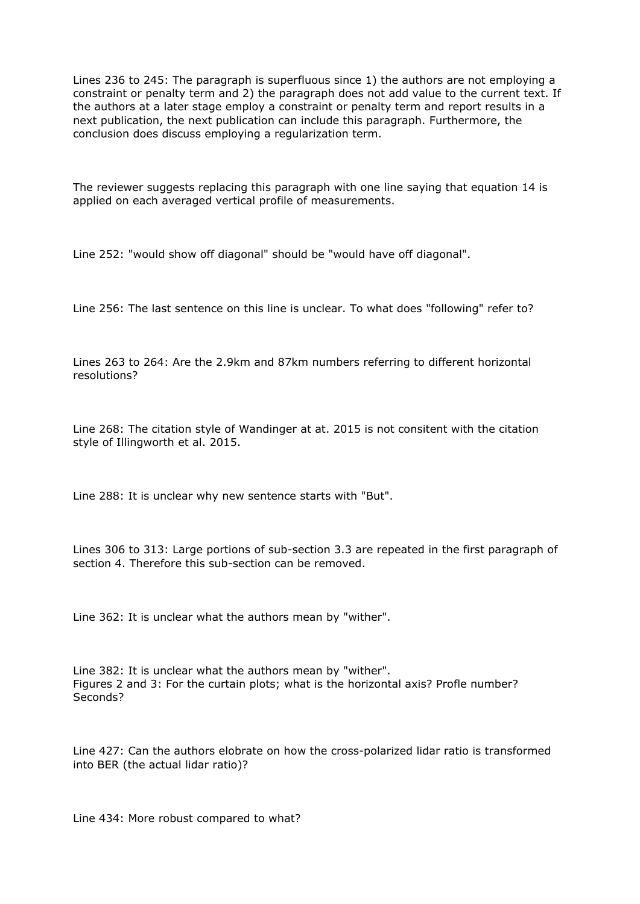Lines 236 to 245: The paragraph is superfluous since 1) the authors are not employing a constraint or penalty term and 2) the paragraph does not add value to the current text. If the authors at a later stage employ a constraint or penalty term and report results in a next publication, the next publication can include this paragraph. Furthermore, the conclusion does discuss employing a regularization term.

The reviewer suggests replacing this paragraph with one line saying that equation 14 is applied on each averaged vertical profile of measurements.

Line 252: "would show off diagonal" should be "would have off diagonal".

Line 256: The last sentence on this line is unclear. To what does "following" refer to?

Lines 263 to 264: Are the 2.9km and 87km numbers referring to different horizontal resolutions?

Line 268: The citation style of Wandinger at at. 2015 is not consitent with the citation style of Illingworth et al. 2015.

Line 288: It is unclear why new sentence starts with "But".

Lines 306 to 313: Large portions of sub-section 3.3 are repeated in the first paragraph of section 4. Therefore this sub-section can be removed.

Line 362: It is unclear what the authors mean by "wither".

Line 382: It is unclear what the authors mean by "wither". Figures 2 and 3: For the curtain plots; what is the horizontal axis? Profle number? Seconds?

Line 427: Can the authors elobrate on how the cross-polarized lidar ratio is transformed into BER (the actual lidar ratio)?

Line 434: More robust compared to what?